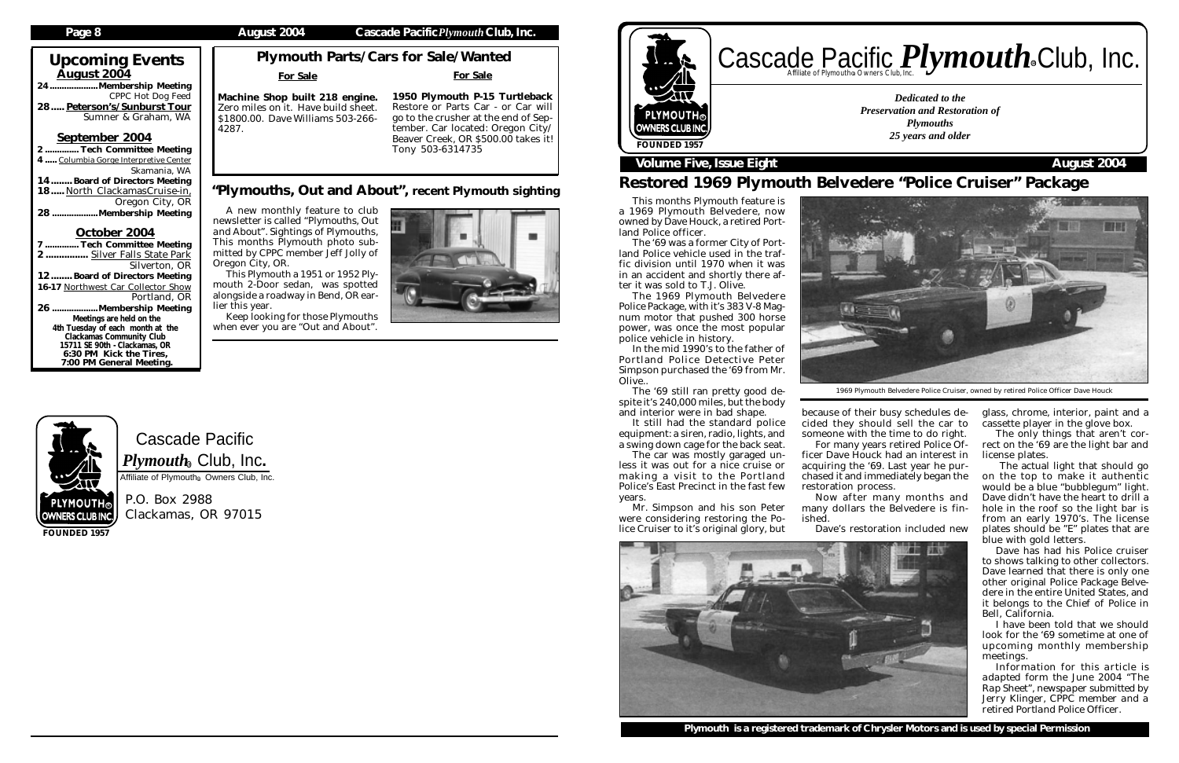$\bar{A}$ ugust 2004

# Cascade Pacific  $\boldsymbol{P} \boldsymbol{l}$ y $\boldsymbol{m} \boldsymbol{o}$ ut $\boldsymbol{h}_\circledast$  Club, Inc.

Affiliate of Plymouth<sup>®</sup> Owners Club, Inc.

P.O. Box 2988 Clackamas, OR 97015

Upcoming Events

24....................Membership Meeting

CPPC Hot Dog Feed

Skamania, WA

Silverton, OR

Portland, OR

Sumner & Graham, WA

... Tech Committee Meeting

..Membership Meeting

### Page 8 **August 2004** Cascade Pacific *Plymouth* Club, Inc.

28..... Peterson's/Sunburst Tour

September 2004

4 ..... Columbia Gorge Interpretive Center

12........ Board of Directors Meeting 16-17 Northwest Car Collector Show

14........ Board of Directors Meeting 18..... North ClackamasCruise-in, .............................Oregon City, OR

October 2004 7 .............. Tech Committee Meeting 2 ................ Silver Falls State Park

# Cascade Pacific *Plymouth* Souriers Club, Inc. R

26 ...................Membership Meeting Meetings are held on the 4th Tuesday of each month at the Clackamas Community Club 15711 SE 90th - Clackamas, OR 6:30 PM Kick the Tires, 7:00 PM General Meeting.

**FOUNDED 1957**

It still had the standard police equipment: a siren, radio, lights, and a swing down cage for the back seat.

*Dedicated to the Preservation and Restoration of Plymouths 25 years and older*





### **Volume Five, Issue Eight August 2004**

R

# Restored 1969 Plymouth Belvedere "Police Cruiser" Package

## Plymouth Parts/Cars for Sale/Wanted

This months Plymouth feature is a 1969 Plymouth Belvedere, now owned by Dave Houck, a retired Portland Police officer.

The '69 was a former City of Portland Police vehicle used in the traffic division until 1970 when it was in an accident and shortly there after it was sold to T.J. Olive.

The 1969 Plymouth Belvedere Police Package, with it's 383 V-8 Magnum motor that pushed 300 horse power, was once the most popular police vehicle in history.

In the mid 1990's to the father of Portland Police Detective Peter Simpson purchased the '69 from Mr. Olive..

The '69 still ran pretty good despite it's 240,000 miles, but the body and interior were in bad shape.

The car was mostly garaged unless it was out for a nice cruise or making a visit to the Portland Police's East Precinct in the fast few years.

Mr. Simpson and his son Peter were considering restoring the Police Cruiser to it's original glory, but

### For Sale

Machine Shop built 218 engine. Zero miles on it. Have build sheet. \$1800.00. Dave Williams 503-266- 4287.

> because of their busy schedules decided they should sell the car to someone with the time to do right. For many years retired Police Officer Dave Houck had an interest in acquiring the '69. Last year he purchased it and immediately began the restoration process.

Now after many months and many dollars the Belvedere is fin-

ished.





Dave's restoration included new

glass, chrome, interior, paint and a cassette player in the glove box.

The only things that aren't correct on the '69 are the light bar and license plates.

 The actual light that should go on the top to make it authentic would be a blue "bubblegum" light. Dave didn't have the heart to drill a hole in the roof so the light bar is from an early 1970's. The license plates should be "E" plates that are blue with gold letters.

Dave has had his Police cruiser to shows talking to other collectors. Dave learned that there is only one other original Police Package Belvedere in the entire United States, and it belongs to the Chief of Police in Bell, California.

I have been told that we should look for the '69 sometime at one of upcoming monthly membership meetings.

*Information for this article is adapted form the June 2004 "The Rap Sheet", newspaper submitted by Jerry Klinger, CPPC member and a retired Portland Police Officer.*

1969 Plymouth Belvedere Police Cruiser, owned by retired Police Officer Dave Houck

For Sale

1950 Plymouth P-15 Turtleback Restore or Parts Car - or Car will go to the crusher at the end of September. Car located: Oregon City/ Beaver Creek, OR \$500.00 takes it! Tony 503-6314735

A new monthly feature to club newsletter is called *"Plymouths, Out and About"*. Sightings of Plymouths, This months Plymouth photo submitted by CPPC member Jeff Jolly of Oregon City, OR.

This Plymouth a 1951 or 1952 Plymouth 2-Door sedan, was spotted alongside a roadway in Bend, OR earlier this year.

Keep looking for those Plymouths when ever you are "Out and About".





### "Plymouths, Out and About", recent Plymouth sighting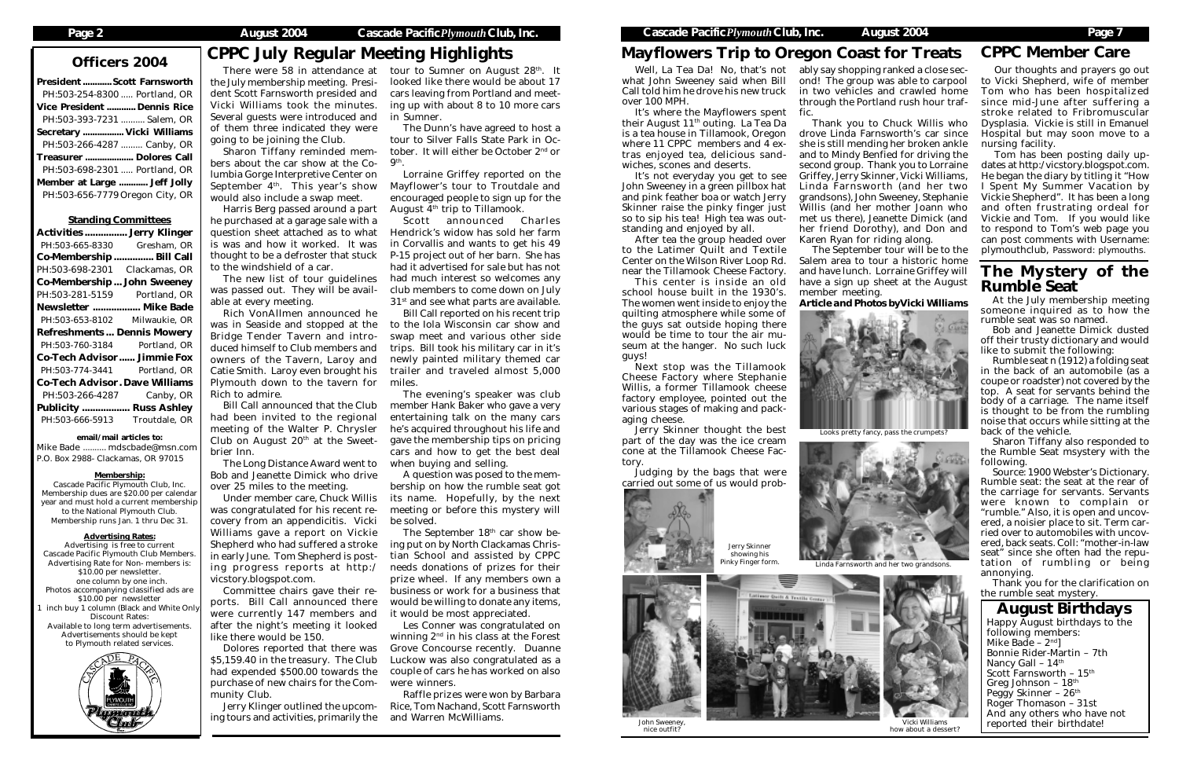# Officers 2004 CPPC July Regular Meeting Highlights

| <b>President  Scott Farnsworth</b> |                                 |
|------------------------------------|---------------------------------|
|                                    | PH:503-254-8300  Portland, OR   |
| <b>Vice President  Dennis Rice</b> |                                 |
|                                    | PH:503-393-7231  Salem, OR      |
| Secretary  Vicki Williams          |                                 |
|                                    | PH:503-266-4287  Canby, OR      |
| Treasurer  Dolores Call            |                                 |
|                                    | PH:503-698-2301  Portland, OR   |
| Member at Large  Jeff Jolly        |                                 |
|                                    | PH:503-656-7779 Oregon City, OR |
|                                    |                                 |

### Standing Committees

| <b>Activities  Jerry Klinger</b>      |               |
|---------------------------------------|---------------|
| PH:503-665-8330                       | Gresham, OR   |
| Co-Membership  Bill Call              |               |
| PH:503-698-2301 Clackamas, OR         |               |
| <b>Co-Membership John Sweeney</b>     |               |
| PH:503-281-5159 Portland, OR          |               |
| Newsletter  Mike Bade                 |               |
| PH:503-653-8102 Milwaukie, OR         |               |
| <b>Refreshments Dennis Mowery</b>     |               |
|                                       |               |
| PH:503-760-3184 Portland, OR          |               |
| <b>Co-Tech Advisor Jimmie Fox</b>     |               |
| PH:503-774-3441                       | Portland, OR  |
| <b>Co-Tech Advisor. Dave Williams</b> |               |
| PH:503-266-4287                       |               |
| <b>Publicity  Russ Ashley</b>         | Canby, OR     |
| PH:503-666-5913                       | Troutdale, OR |

email/mail articles to:

Mike Bade .......... mdscbade@msn.com P.O. Box 2988- Clackamas, OR 97015

### Membership:

Cascade Pacific Plymouth Club, Inc. Membership dues are \$20.00 per calendar year and must hold a current membership to the National Plymouth Club. Membership runs Jan. 1 thru Dec 31.

### Advertising Rates:

Advertising is free to current Cascade Pacific Plymouth Club Members. Advertising Rate for Non- members is: \$10.00 per newsletter. one column by one inch. Photos accompanying classified ads are \$10.00 per newsletter inch buy 1 column (Black and White Only Discount Rates: Available to long term advertisements. Advertisements should be kept to Plymouth related services.



### August Birthdays Happy August birthdays to the following members: Mike Bade –  $2<sup>nd</sup>$ Bonnie Rider-Martin – 7th Nancy Gall - 14<sup>th</sup> Scott Farnsworth -  $15^{\rm th}$ Greg Johnson – 18th Peggy Skinner - 26<sup>th</sup> Roger Thomason – 31st And any others who have not reported their birthdate!

tour to Sumner on August 28<sup>th</sup>. It looked like there would be about 17 cars leaving from Portland and meeting up with about 8 to 10 more cars in Sumner.

# Mayflowers Trip to Oregon Coast for Treats

Lorraine Griffey reported on the Mayflower's tour to Troutdale and encouraged people to sign up for the August  $4<sup>th</sup>$  trip to Tillamook.

Scott announced Charles Hendrick's widow has sold her farm in Corvallis and wants to get his 49 P-15 project out of her barn. She has had it advertised for sale but has not had much interest so welcomes any club members to come down on July 31<sup>st</sup> and see what parts are available.

There were 58 in attendance at the July membership meeting. President Scott Farnsworth presided and Vicki Williams took the minutes. Several guests were introduced and of them three indicated they were going to be joining the Club.

Sharon Tiffany reminded members about the car show at the Columbia Gorge Interpretive Center on September  $4<sup>th</sup>$ . This year's show would also include a swap meet.

Harris Berg passed around a part he purchased at a garage sale with a question sheet attached as to what is was and how it worked. It was thought to be a defroster that stuck to the windshield of a car.

> The September 18<sup>th</sup> car show being put on by North Clackamas Christian School and assisted by CPPC needs donations of prizes for their prize wheel. If any members own a business or work for a business that would be willing to donate any items, it would be most appreciated.

The new list of tour guidelines was passed out. They will be available at every meeting.

Rich VonAllmen announced he was in Seaside and stopped at the Bridge Tender Tavern and introduced himself to Club members and owners of the Tavern, Laroy and Catie Smith. Laroy even brought his Plymouth down to the tavern for Rich to admire.

Bill Call announced that the Club had been invited to the regional meeting of the Walter P. Chrysler Club on August  $20<sup>th</sup>$  at the Sweetbrier Inn.

The Long Distance Award went to Bob and Jeanette Dimick who drive over 25 miles to the meeting.

Under member care, Chuck Willis was congratulated for his recent recovery from an appendicitis. Vicki Williams gave a report on Vickie Shepherd who had suffered a stroke in early June. Tom Shepherd is posting progress reports at http:/ vicstory.blogspot.com.

Committee chairs gave their reports. Bill Call announced there were currently 147 members and after the night's meeting it looked like there would be 150.

Dolores reported that there was \$5,159.40 in the treasury. The Club had expended \$500.00 towards the purchase of new chairs for the Community Club.

Jerry Klinger outlined the upcoming tours and activities, primarily the

The Dunn's have agreed to host a tour to Silver Falls State Park in October. It will either be October 2nd or 9th.

# The Mystery of the Rumble Seat

Jerry Skinner showing his inky Finger form



Bill Call reported on his recent trip to the Iola Wisconsin car show and swap meet and various other side trips. Bill took his military car in it's newly painted military themed car trailer and traveled almost 5,000 miles.

The evening's speaker was club member Hank Baker who gave a very entertaining talk on the many cars he's acquired throughout his life and gave the membership tips on pricing cars and how to get the best deal when buying and selling.

A question was posed to the membership on how the rumble seat got its name. Hopefully, by the next meeting or before this mystery will be solved.

Les Conner was congratulated on winning 2nd in his class at the Forest Grove Concourse recently. Duanne Luckow was also congratulated as a couple of cars he has worked on also were winners.

Raffle prizes were won by Barbara Rice, Tom Nachand, Scott Farnsworth and Warren McWilliams.

Well, La Tea Da! No, that's not what John Sweeney said when Bill Call told him he drove his new truck over 100 MPH.

It's where the Mayflowers spent their August 11th outing. La Tea Da is a tea house in Tillamook, Oregon where 11 CPPC members and 4 extras enjoyed tea, delicious sandwiches, scones and deserts.

It's not everyday you get to see John Sweeney in a green pillbox hat and pink feather boa or watch Jerry Skinner raise the pinky finger just so to sip his tea! High tea was outstanding and enjoyed by all.

After tea the group headed over to the Latimer Quilt and Textile Center on the Wilson River Loop Rd. near the Tillamook Cheese Factory.

This center is inside an old school house built in the 1930's. The women went inside to enjoy the quilting atmosphere while some of the guys sat outside hoping there would be time to tour the air museum at the hanger. No such luck guys!

Next stop was the Tillamook Cheese Factory where Stephanie Willis, a former Tillamook cheese factory employee, pointed out the various stages of making and packaging cheese.

Jerry Skinner thought the best part of the day was the ice cream cone at the Tillamook Cheese Factory.

Judging by the bags that were carried out some of us would prob-



ably say shopping ranked a close second! The group was able to carpool in two vehicles and crawled home through the Portland rush hour traf-

fic.

Thank you to Chuck Willis who drove Linda Farnsworth's car since she is still mending her broken ankle and to Mindy Benfied for driving the second group. Thank you to Lorraine Griffey, Jerry Skinner, Vicki Williams, Linda Farnsworth (and her two grandsons), John Sweeney, Stephanie Willis (and her mother Joann who met us there), Jeanette Dimick (and her friend Dorothy), and Don and Karen Ryan for riding along.

The September tour will be to the Salem area to tour a historic home and have lunch. Lorraine Griffey will have a sign up sheet at the August member meeting.

### *Article and Photos byVicki Williams*

Our thoughts and prayers go out to Vicki Shepherd, wife of member Tom who has been hospitalized since mid-June after suffering a stroke related to Fribromuscular Dysplasia. Vickie is still in Emanuel Hospital but may soon move to a nursing facility.

Tom has been posting daily updates at http:/vicstory.blogspot.com. He began the diary by titling it "How I Spent My Summer Vacation by Vickie Shepherd". It has been a long and often frustrating ordeal for Vickie and Tom. If you would like to respond to Tom's web page you can post comments with Username: plymouthclub, Password: plymouths.

At the July membership meeting someone inquired as to how the rumble seat was so named.

Bob and Jeanette Dimick dusted off their trusty dictionary and would like to submit the following:

Rumble seat n (1912) a folding seat in the back of an automobile (as a coupe or roadster) not covered by the top. A seat for servants behind the body of a carriage. The name itself is thought to be from the rumbling noise that occurs while sitting at the back of the vehicle.

Sharon Tiffany also responded to the Rumble Seat msystery with the following.

Source: 1900 Webster's Dictionary. Rumble seat: the seat at the rear of the carriage for servants. Servants were known to complain or "rumble." Also, it is open and uncovered, a noisier place to sit. Term carried over to automobiles with uncovered, back seats. Coll: "mother-in-law seat" since she often had the reputation of rumbling or being annonying.

Thank you for the clarification on the rumble seat mystery.

# CPPC Member Care

John Sweeney, nice outfit?



Vicki Williams how about a dessert?





Linda Farnsworth and her two grandsons.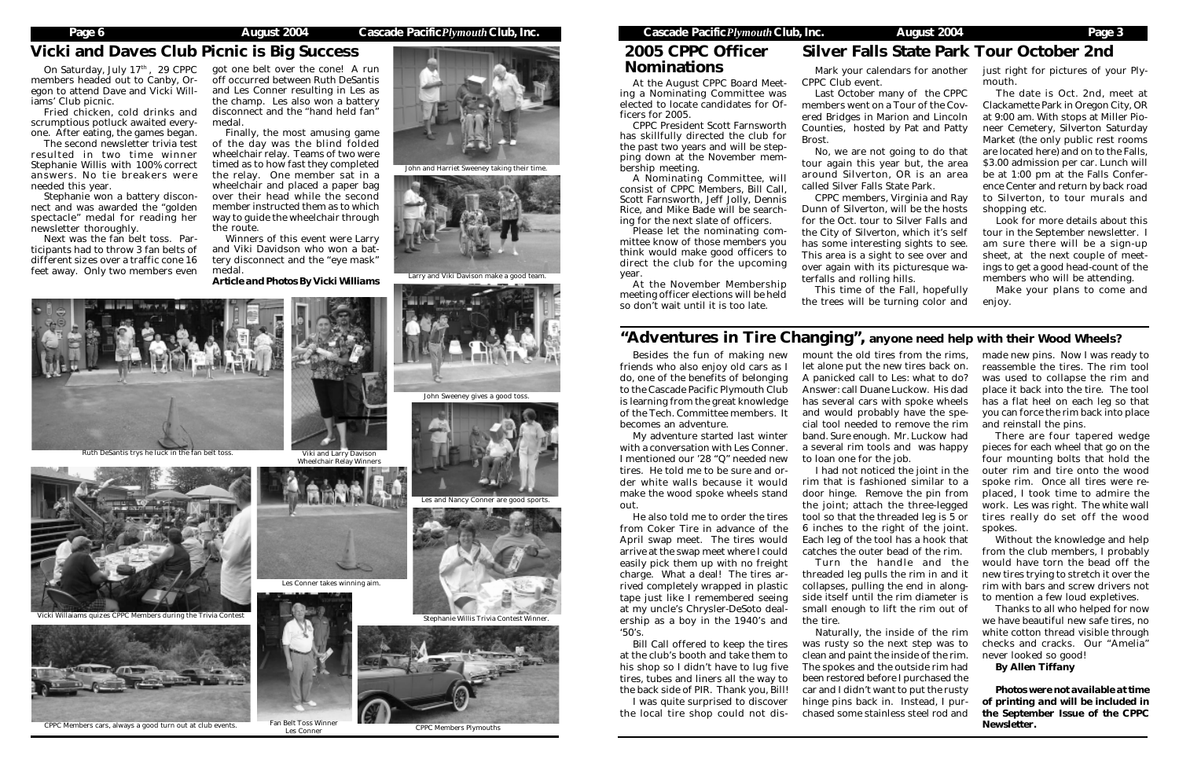At the August CPPC Board Meeting a Nominating Committee was elected to locate candidates for Officers for 2005.

CPPC President Scott Farnsworth has skillfully directed the club for the past two years and will be stepping down at the November membership meeting.

On Saturday, July 17th, 29 CPPC members headed out to Canby, Oregon to attend Dave and Vicki Williams' Club picnic.

> A Nominating Committee, will consist of CPPC Members, Bill Call, Scott Farnsworth, Jeff Jolly, Dennis Rice, and Mike Bade will be searching for the next slate of officers.

> Please let the nominating committee know of those members you think would make good officers to direct the club for the upcoming year.

> At the November Membership meeting officer elections will be held so don't wait until it is too late.

Fried chicken, cold drinks and scrumptious potluck awaited everyone. After eating, the games began.

The second newsletter trivia test resulted in two time winner Stephanie Willis with 100% correct answers. No tie breakers were needed this year.

Stephanie won a battery disconnect and was awarded the "golden spectacle" medal for reading her newsletter thoroughly.

Next was the fan belt toss. Participants had to throw 3 fan belts of different sizes over a traffic cone 16 feet away. Only two members even

got one belt over the cone! A run off occurred between Ruth DeSantis and Les Conner resulting in Les as the champ. Les also won a battery disconnect and the "hand held fan" medal.

Finally, the most amusing game of the day was the blind folded wheelchair relay. Teams of two were timed as to how fast they completed the relay. One member sat in a wheelchair and placed a paper bag over their head while the second member instructed them as to which way to guide the wheelchair through the route.

Winners of this event were Larry and Viki Davidson who won a battery disconnect and the "eye mask" medal. *Article and Photos By Vicki Williams*

> Besides the fun of making new friends who also enjoy old cars as I do, one of the benefits of belonging to the Cascade Pacific Plymouth Club is learning from the great knowledge of the Tech. Committee members. It becomes an adventure.

> My adventure started last winter with a conversation with Les Conner. I mentioned our '28 "Q" needed new tires. He told me to be sure and order white walls because it would make the wood spoke wheels stand out.

> He also told me to order the tires from Coker Tire in advance of the April swap meet. The tires would arrive at the swap meet where I could easily pick them up with no freight charge. What a deal! The tires arrived completely wrapped in plastic tape just like I remembered seeing at my uncle's Chrysler-DeSoto dealership as a boy in the 1940's and '50's.

**Nominations** Mark your calendars for another just right for pictures of your Ply-CPPC Club event.

Bill Call offered to keep the tires at the club's booth and take them to his shop so I didn't have to lug five tires, tubes and liners all the way to the back side of PIR. Thank you, Bill!

I was quite surprised to discover the local tire shop could not dis-

mount the old tires from the rims, let alone put the new tires back on. A panicked call to Les: what to do? Answer: call Duane Luckow. His dad has several cars with spoke wheels and would probably have the special tool needed to remove the rim band. Sure enough. Mr. Luckow had a several rim tools and was happy to loan one for the job.



Les Conner CPPC Members Plymouths

### Page 6 **August 2004** Cascade Pacific *Plymouth* Club, Inc. Cascade Pacific *Plymouth* Club, Inc. August 2004 Page 3

I had not noticed the joint in the rim that is fashioned similar to a door hinge. Remove the pin from the joint; attach the three-legged tool so that the threaded leg is 5 or 6 inches to the right of the joint. Each leg of the tool has a hook that catches the outer bead of the rim.

Turn the handle and the threaded leg pulls the rim in and it collapses, pulling the end in alongside itself until the rim diameter is small enough to lift the rim out of

the tire.

Naturally, the inside of the rim was rusty so the next step was to clean and paint the inside of the rim. The spokes and the outside rim had been restored before I purchased the car and I didn't want to put the rusty hinge pins back in. Instead, I purchased some stainless steel rod and

made new pins. Now I was ready to reassemble the tires. The rim tool was used to collapse the rim and place it back into the tire. The tool has a flat heel on each leg so that you can force the rim back into place and reinstall the pins.

There are four tapered wedge pieces for each wheel that go on the four mounting bolts that hold the outer rim and tire onto the wood spoke rim. Once all tires were replaced, I took time to admire the work. Les was right. The white wall tires really do set off the wood spokes.

Without the knowledge and help from the club members, I probably would have torn the bead off the new tires trying to stretch it over the rim with bars and screw drivers not to mention a few loud expletives.

Thanks to all who helped for now we have beautiful new safe tires, no white cotton thread visible through checks and cracks. Our "Amelia" never looked so good!

*By Allen Tiffany*

*Photos were not available at time of printing and will be included in the September Issue of the CPPC Newsletter.*

# 2005 CPPC Officer

Last October many of the CPPC members went on a Tour of the Covered Bridges in Marion and Lincoln Counties, hosted by Pat and Patty Brost.

No, we are not going to do that tour again this year but, the area around Silverton, OR is an area called Silver Falls State Park.

CPPC members, Virginia and Ray Dunn of Silverton, will be the hosts the City of Silverton, which it's self has some interesting sights to see.



for the Oct. tour to Silver Falls and This area is a sight to see over and over again with its picturesque waterfalls and rolling hills.

This time of the Fall, hopefully the trees will be turning color and

# "Adventures in Tire Changing", anyone need help with their Wood Wheels?

# Silver Falls State Park Tour October 2nd

mouth.

The date is Oct. 2nd, meet at Clackamette Park in Oregon City, OR at 9:00 am. With stops at Miller Pioneer Cemetery, Silverton Saturday Market (the only public rest rooms are located here) and on to the Falls, \$3.00 admission per car. Lunch will be at 1:00 pm at the Falls Conference Center and return by back road to Silverton, to tour murals and shopping etc.

Look for more details about this tour in the September newsletter. I am sure there will be a sign-up sheet, at the next couple of meetings to get a good head-count of the members who will be attending.

Make your plans to come and enjoy.

# Vicki and Daves Club Picnic is Big Success



John and Harriet Sweeney taking their time.



Larry and Viki Davison make a good team.

Fan Belt Toss Winner





CPPC Members cars, always a good turn out at club events.



Ruth DeSantis trys he luck in the fan belt toss.